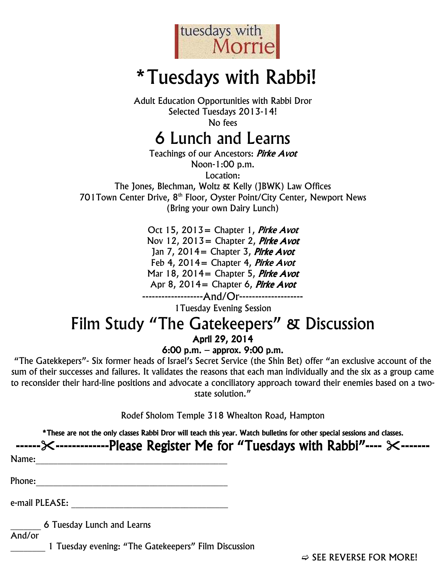

# \*Tuesdays with Rabbi!

Adult Education Opportunities with Rabbi Dror Selected Tuesdays 2013-14! No fees

6 Lunch and Learns

Teachings of our Ancestors: *Pirke Avot* Noon-1:00 p.m. Location: The Jones, Blechman, Woltz & Kelly (JBWK) Law Offices 701 Town Center Drive, 8<sup>th</sup> Floor, Oyster Point/City Center, Newport News (Bring your own Dairy Lunch)

> Oct 15, 2013 = Chapter 1, *Pirke Avot* Nov 12, 2013 = Chapter 2, Pirke Avot Jan  $7, 2014$  = Chapter 3, Pirke Avot Feb 4, 2014 = Chapter 4, *Pirke Avot* Mar 18, 2014 = Chapter 5, *Pirke Avot* Apr 8, 2014 = Chapter 6, Pirke Avot -------------------And/Or--------------------

> > 1Tuesday Evening Session

#### Film Study "The Gatekeepers" & Discussion April 29, 2014

#### 6:00 p.m. – approx. 9:00 p.m.

"The Gatekkepers"- Six former heads of Israel's Secret Service (the Shin Bet) offer "an exclusive account of the sum of their successes and failures. It validates the reasons that each man individually and the six as a group came to reconsider their hard-line positions and advocate a conciliatory approach toward their enemies based on a twostate solution."

Rodef Sholom Temple 318 Whealton Road, Hampton

\*These are not the only classes Rabbi Dror will teach this year. Watch bulletins for other special sessions and classes.

|                            | ------ $\times$ --------------Please Register Me for "Tuesdays with Rabbi"---- $\times$ ------- |
|----------------------------|-------------------------------------------------------------------------------------------------|
| Name:                      |                                                                                                 |
| Phone:                     |                                                                                                 |
| e-mail PLEASE:             |                                                                                                 |
| 6 Tuesday Lunch and Learns |                                                                                                 |

And/or

1 Tuesday evening: "The Gatekeepers" Film Discussion

 $\Rightarrow$  SEE REVERSE FOR MORE!